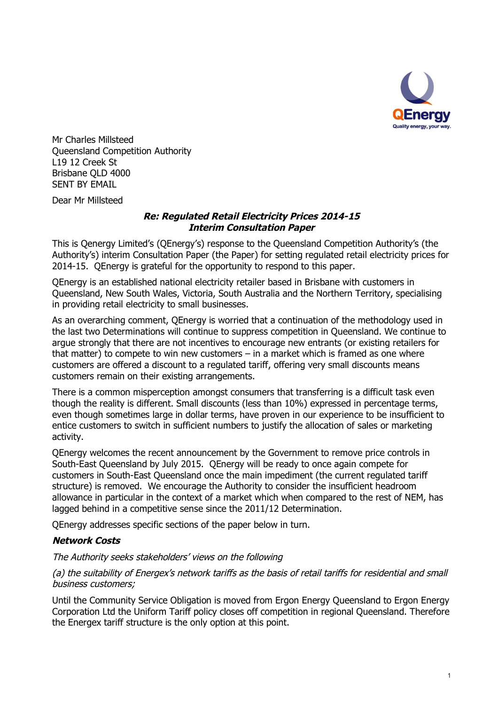

Mr Charles Millsteed Queensland Competition Authority L19 12 Creek St Brisbane QLD 4000 SENT BY EMAIL

Dear Mr Millsteed

## *Re: Regulated Retail Electricity Prices 2014-15 Interim Consultation Paper*

This is Qenergy Limited's (QEnergy's) response to the Queensland Competition Authority's (the Authority's) interim Consultation Paper (the Paper) for setting regulated retail electricity prices for 2014-15. QEnergy is grateful for the opportunity to respond to this paper.

QEnergy is an established national electricity retailer based in Brisbane with customers in Queensland, New South Wales, Victoria, South Australia and the Northern Territory, specialising in providing retail electricity to small businesses.

As an overarching comment, QEnergy is worried that a continuation of the methodology used in the last two Determinations will continue to suppress competition in Queensland. We continue to argue strongly that there are not incentives to encourage new entrants (or existing retailers for that matter) to compete to win new customers  $-$  in a market which is framed as one where customers are offered a discount to a regulated tariff, offering very small discounts means customers remain on their existing arrangements.

There is a common misperception amongst consumers that transferring is a difficult task even though the reality is different. Small discounts (less than 10%) expressed in percentage terms, even though sometimes large in dollar terms, have proven in our experience to be insufficient to entice customers to switch in sufficient numbers to justify the allocation of sales or marketing activity.

QEnergy welcomes the recent announcement by the Government to remove price controls in South-East Queensland by July 2015. QEnergy will be ready to once again compete for customers in South-East Queensland once the main impediment (the current regulated tariff structure) is removed. We encourage the Authority to consider the insufficient headroom allowance in particular in the context of a market which when compared to the rest of NEM, has lagged behind in a competitive sense since the 2011/12 Determination.

QEnergy addresses specific sections of the paper below in turn.

#### *Network Costs*

#### *The Authority seeks stakeholders' views on the following*

## *(a) the suitability of Energex's network tariffs as the basis of retail tariffs for residential and small business customers;*

Until the Community Service Obligation is moved from Ergon Energy Queensland to Ergon Energy Corporation Ltd the Uniform Tariff policy closes off competition in regional Queensland. Therefore the Energex tariff structure is the only option at this point.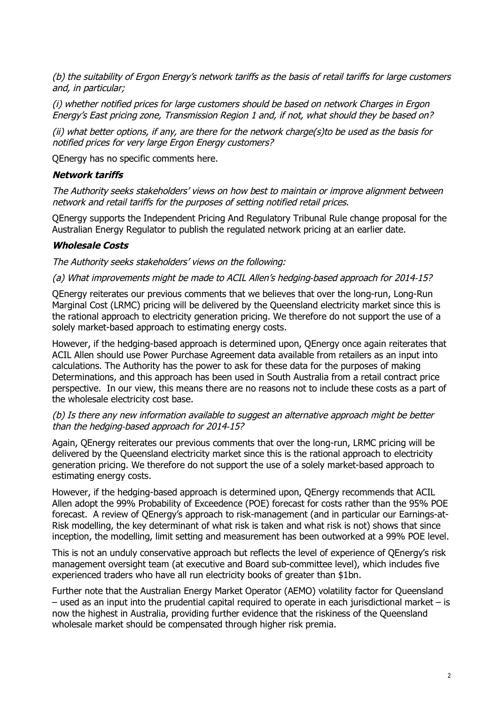*(b) the suitability of Ergon Energy's network tariffs as the basis of retail tariffs for large customers and, in particular;*

*(i) whether notified prices for large customers should be based on network Charges in Ergon Energy's East pricing zone, Transmission Region 1 and, if not, what should they be based on?*

*(ii) what better options, if any, are there for the network charge(s)to be used as the basis for notified prices for very large Ergon Energy customers?*

QEnergy has no specific comments here.

#### *Network tariffs*

*The Authority seeks stakeholders' views on how best to maintain or improve alignment between network and retail tariffs for the purposes of setting notified retail prices.*

QEnergy supports the Independent Pricing And Regulatory Tribunal Rule change proposal for the Australian Energy Regulator to publish the regulated network pricing at an earlier date.

## *Wholesale Costs*

*The Authority seeks stakeholders' views on the following:*

*(a) What improvements might be made to ACIL Allen's hedging‐based approach for 2014‐15?*

QEnergy reiterates our previous comments that we believes that over the long-run, Long-Run Marginal Cost (LRMC) pricing will be delivered by the Queensland electricity market since this is the rational approach to electricity generation pricing. We therefore do not support the use of a solely market-based approach to estimating energy costs.

However, if the hedging-based approach is determined upon, QEnergy once again reiterates that ACIL Allen should use Power Purchase Agreement data available from retailers as an input into calculations. The Authority has the power to ask for these data for the purposes of making Determinations, and this approach has been used in South Australia from a retail contract price perspective. In our view, this means there are no reasons not to include these costs as a part of the wholesale electricity cost base.

#### *(b) Is there any new information available to suggest an alternative approach might be better than the hedging‐based approach for 2014‐15?*

Again, QEnergy reiterates our previous comments that over the long-run, LRMC pricing will be delivered by the Queensland electricity market since this is the rational approach to electricity generation pricing. We therefore do not support the use of a solely market-based approach to estimating energy costs.

However, if the hedging-based approach is determined upon, QEnergy recommends that ACIL Allen adopt the 99% Probability of Exceedence (POE) forecast for costs rather than the 95% POE forecast. A review of QEnergy's approach to risk-management (and in particular our Earnings-at-Risk modelling, the key determinant of what risk is taken and what risk is not) shows that since inception, the modelling, limit setting and measurement has been outworked at a 99% POE level.

This is not an unduly conservative approach but reflects the level of experience of QEnergy's risk management oversight team (at executive and Board sub-committee level), which includes five experienced traders who have all run electricity books of greater than \$1bn.

Further note that the Australian Energy Market Operator (AEMO) volatility factor for Queensland – used as an input into the prudential capital required to operate in each jurisdictional market – is now the highest in Australia, providing further evidence that the riskiness of the Queensland wholesale market should be compensated through higher risk premia.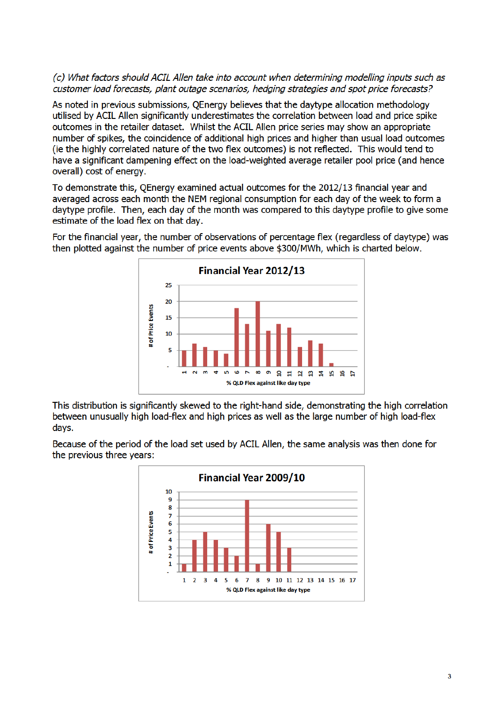## (c) What factors should ACIL Allen take into account when determining modelling inputs such as customer load forecasts, plant outage scenarios, hedging strategies and spot price forecasts?

As noted in previous submissions, QEnergy believes that the daytype allocation methodology utilised by ACIL Allen significantly underestimates the correlation between load and price spike outcomes in the retailer dataset. Whilst the ACIL Allen price series may show an appropriate number of spikes, the coincidence of additional high prices and higher than usual load outcomes (ie the highly correlated nature of the two flex outcomes) is not reflected. This would tend to have a significant dampening effect on the load-weighted average retailer pool price (and hence overall) cost of energy.

To demonstrate this, QEnergy examined actual outcomes for the 2012/13 financial year and averaged across each month the NEM regional consumption for each day of the week to form a daytype profile. Then, each day of the month was compared to this daytype profile to give some estimate of the load flex on that day.

For the financial year, the number of observations of percentage flex (regardless of daytype) was then plotted against the number of price events above \$300/MWh, which is charted below.



This distribution is significantly skewed to the right-hand side, demonstrating the high correlation between unusually high load-flex and high prices as well as the large number of high load-flex davs.

Because of the period of the load set used by ACIL Allen, the same analysis was then done for the previous three years:

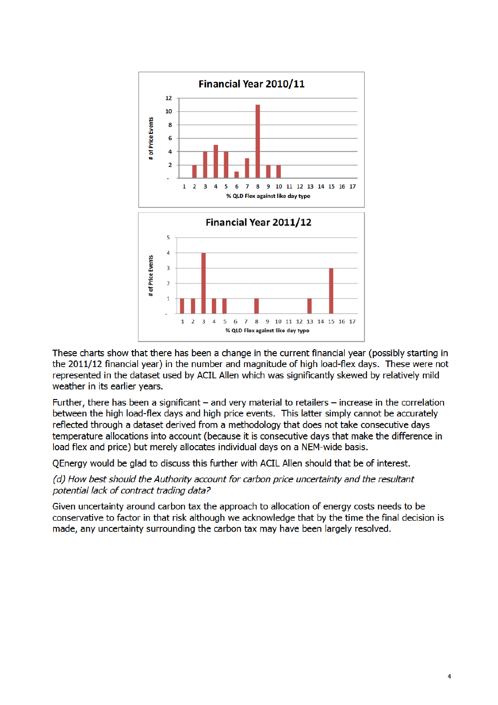

These charts show that there has been a change in the current financial year (possibly starting in the 2011/12 financial year) in the number and magnitude of high load-flex days. These were not represented in the dataset used by ACIL Allen which was significantly skewed by relatively mild weather in its earlier years.

Further, there has been a significant  $-$  and very material to retailers  $-$  increase in the correlation between the high load-flex days and high price events. This latter simply cannot be accurately reflected through a dataset derived from a methodology that does not take consecutive days temperature allocations into account (because it is consecutive days that make the difference in load flex and price) but merely allocates individual days on a NEM-wide basis.

OEnergy would be glad to discuss this further with ACIL Allen should that be of interest.

(d) How best should the Authority account for carbon price uncertainty and the resultant potential lack of contract trading data?

Given uncertainty around carbon tax the approach to allocation of energy costs needs to be conservative to factor in that risk although we acknowledge that by the time the final decision is made, any uncertainty surrounding the carbon tax may have been largely resolved.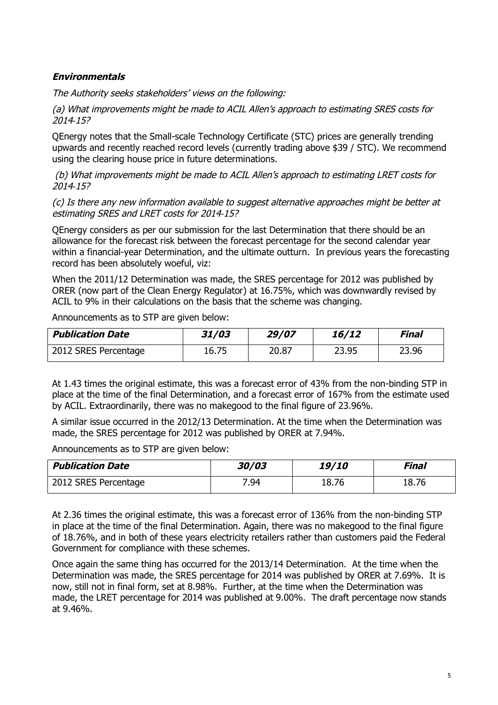## *Environmentals*

*The Authority seeks stakeholders' views on the following:*

*(a) What improvements might be made to ACIL Allen's approach to estimating SRES costs for 2014‐15?*

QEnergy notes that the Small-scale Technology Certificate (STC) prices are generally trending upwards and recently reached record levels (currently trading above \$39 / STC). We recommend using the clearing house price in future determinations.

*(b) What improvements might be made to ACIL Allen's approach to estimating LRET costs for 2014‐15?*

*(c) Is there any new information available to suggest alternative approaches might be better at estimating SRES and LRET costs for 2014‐15?*

QEnergy considers as per our submission for the last Determination that there should be an allowance for the forecast risk between the forecast percentage for the second calendar year within a financial-year Determination, and the ultimate outturn. In previous years the forecasting record has been absolutely woeful, viz:

When the 2011/12 Determination was made, the SRES percentage for 2012 was published by ORER (now part of the Clean Energy Regulator) at 16.75%, which was downwardly revised by ACIL to 9% in their calculations on the basis that the scheme was changing.

Announcements as to STP are given below:

| <b>Publication Date</b> | 31/03 | 29/07 | 16/12 | Final |
|-------------------------|-------|-------|-------|-------|
| 2012 SRES Percentage    | 16.75 | 20.87 | 23.95 | 23.96 |

At 1.43 times the original estimate, this was a forecast error of 43% from the non-binding STP in place at the time of the final Determination, and a forecast error of 167% from the estimate used by ACIL. Extraordinarily, there was no makegood to the final figure of 23.96%.

A similar issue occurred in the 2012/13 Determination. At the time when the Determination was made, the SRES percentage for 2012 was published by ORER at 7.94%.

Announcements as to STP are given below:

| <b>Publication Date</b> | 30/03 | <i><b>19/10</b></i> | Final |
|-------------------------|-------|---------------------|-------|
| 2012 SRES Percentage    | 7.94  | 18.76               | 18.76 |

At 2.36 times the original estimate, this was a forecast error of 136% from the non-binding STP in place at the time of the final Determination. Again, there was no makegood to the final figure of 18.76%, and in both of these years electricity retailers rather than customers paid the Federal Government for compliance with these schemes.

Once again the same thing has occurred for the 2013/14 Determination. At the time when the Determination was made, the SRES percentage for 2014 was published by ORER at 7.69%. It is now, still not in final form, set at 8.98%. Further, at the time when the Determination was made, the LRET percentage for 2014 was published at 9.00%. The draft percentage now stands at 9.46%.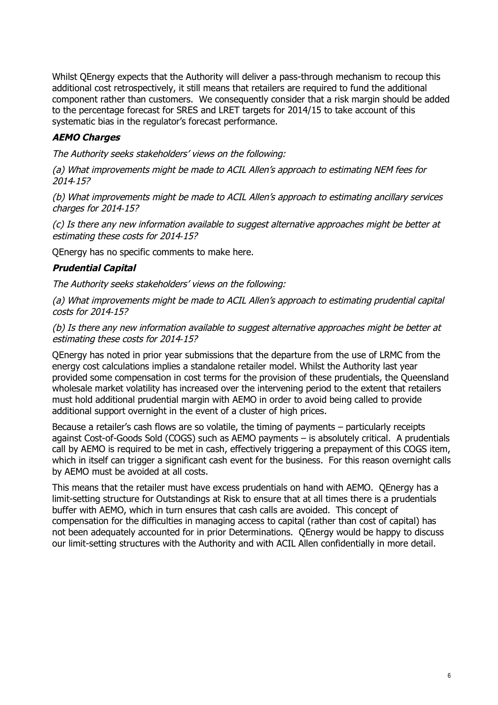Whilst QEnergy expects that the Authority will deliver a pass-through mechanism to recoup this additional cost retrospectively, it still means that retailers are required to fund the additional component rather than customers. We consequently consider that a risk margin should be added to the percentage forecast for SRES and LRET targets for 2014/15 to take account of this systematic bias in the regulator's forecast performance.

# *AEMO Charges*

*The Authority seeks stakeholders' views on the following:*

*(a) What improvements might be made to ACIL Allen's approach to estimating NEM fees for 2014‐15?*

*(b) What improvements might be made to ACIL Allen's approach to estimating ancillary services charges for 2014‐15?*

*(c) Is there any new information available to suggest alternative approaches might be better at estimating these costs for 2014‐15?*

QEnergy has no specific comments to make here.

## *Prudential Capital*

*The Authority seeks stakeholders' views on the following:*

*(a) What improvements might be made to ACIL Allen's approach to estimating prudential capital costs for 2014‐15?*

*(b) Is there any new information available to suggest alternative approaches might be better at estimating these costs for 2014‐15?*

QEnergy has noted in prior year submissions that the departure from the use of LRMC from the energy cost calculations implies a standalone retailer model. Whilst the Authority last year provided some compensation in cost terms for the provision of these prudentials, the Queensland wholesale market volatility has increased over the intervening period to the extent that retailers must hold additional prudential margin with AEMO in order to avoid being called to provide additional support overnight in the event of a cluster of high prices.

Because a retailer's cash flows are so volatile, the timing of payments – particularly receipts against Cost-of-Goods Sold (COGS) such as AEMO payments – is absolutely critical. A prudentials call by AEMO is required to be met in cash, effectively triggering a prepayment of this COGS item, which in itself can trigger a significant cash event for the business. For this reason overnight calls by AEMO must be avoided at all costs.

This means that the retailer must have excess prudentials on hand with AEMO. QEnergy has a limit-setting structure for Outstandings at Risk to ensure that at all times there is a prudentials buffer with AEMO, which in turn ensures that cash calls are avoided. This concept of compensation for the difficulties in managing access to capital (rather than cost of capital) has not been adequately accounted for in prior Determinations. QEnergy would be happy to discuss our limit-setting structures with the Authority and with ACIL Allen confidentially in more detail.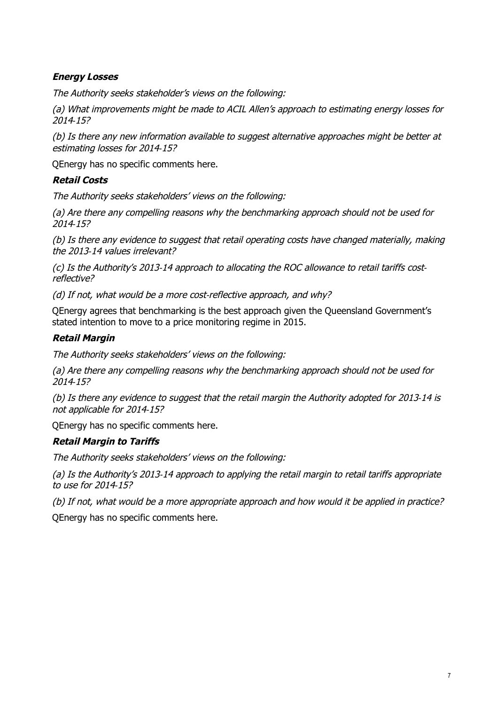# *Energy Losses*

*The Authority seeks stakeholder's views on the following:*

*(a) What improvements might be made to ACIL Allen's approach to estimating energy losses for 2014‐15?*

*(b) Is there any new information available to suggest alternative approaches might be better at estimating losses for 2014‐15?*

QEnergy has no specific comments here.

# *Retail Costs*

*The Authority seeks stakeholders' views on the following:*

*(a) Are there any compelling reasons why the benchmarking approach should not be used for 2014‐15?*

*(b) Is there any evidence to suggest that retail operating costs have changed materially, making the 2013‐14 values irrelevant?*

*(c) Is the Authority's 2013‐14 approach to allocating the ROC allowance to retail tariffs cost‐ reflective?*

*(d) If not, what would be a more cost‐reflective approach, and why?*

QEnergy agrees that benchmarking is the best approach given the Queensland Government's stated intention to move to a price monitoring regime in 2015.

# *Retail Margin*

*The Authority seeks stakeholders' views on the following:*

*(a) Are there any compelling reasons why the benchmarking approach should not be used for 2014‐15?*

*(b) Is there any evidence to suggest that the retail margin the Authority adopted for 2013‐14 is not applicable for 2014‐15?*

QEnergy has no specific comments here.

# *Retail Margin to Tariffs*

*The Authority seeks stakeholders' views on the following:*

*(a) Is the Authority's 2013‐14 approach to applying the retail margin to retail tariffs appropriate to use for 2014‐15?*

*(b) If not, what would be a more appropriate approach and how would it be applied in practice?*

QEnergy has no specific comments here.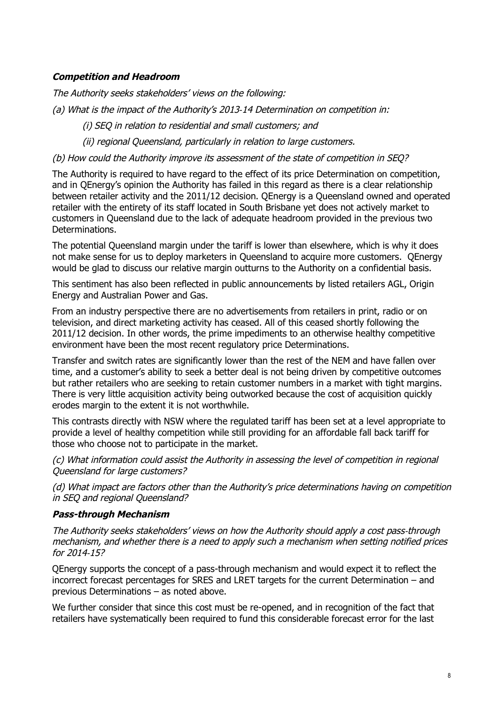# *Competition and Headroom*

*The Authority seeks stakeholders' views on the following:*

- *(a) What is the impact of the Authority's 2013‐14 Determination on competition in:*
	- *(i) SEQ in relation to residential and small customers; and*

*(ii) regional Queensland, particularly in relation to large customers.*

### *(b) How could the Authority improve its assessment of the state of competition in SEQ?*

The Authority is required to have regard to the effect of its price Determination on competition, and in QEnergy's opinion the Authority has failed in this regard as there is a clear relationship between retailer activity and the 2011/12 decision. QEnergy is a Queensland owned and operated retailer with the entirety of its staff located in South Brisbane yet does not actively market to customers in Queensland due to the lack of adequate headroom provided in the previous two Determinations.

The potential Queensland margin under the tariff is lower than elsewhere, which is why it does not make sense for us to deploy marketers in Queensland to acquire more customers. QEnergy would be glad to discuss our relative margin outturns to the Authority on a confidential basis.

This sentiment has also been reflected in public announcements by listed retailers AGL, Origin Energy and Australian Power and Gas.

From an industry perspective there are no advertisements from retailers in print, radio or on television, and direct marketing activity has ceased. All of this ceased shortly following the 2011/12 decision. In other words, the prime impediments to an otherwise healthy competitive environment have been the most recent regulatory price Determinations.

Transfer and switch rates are significantly lower than the rest of the NEM and have fallen over time, and a customer's ability to seek a better deal is not being driven by competitive outcomes but rather retailers who are seeking to retain customer numbers in a market with tight margins. There is very little acquisition activity being outworked because the cost of acquisition quickly erodes margin to the extent it is not worthwhile.

This contrasts directly with NSW where the regulated tariff has been set at a level appropriate to provide a level of healthy competition while still providing for an affordable fall back tariff for those who choose not to participate in the market.

*(c) What information could assist the Authority in assessing the level of competition in regional Queensland for large customers?*

*(d) What impact are factors other than the Authority's price determinations having on competition in SEQ and regional Queensland?*

#### *Pass-through Mechanism*

*The Authority seeks stakeholders' views on how the Authority should apply a cost pass‐through mechanism, and whether there is a need to apply such a mechanism when setting notified prices for 2014‐15?*

QEnergy supports the concept of a pass-through mechanism and would expect it to reflect the incorrect forecast percentages for SRES and LRET targets for the current Determination – and previous Determinations – as noted above.

We further consider that since this cost must be re-opened, and in recognition of the fact that retailers have systematically been required to fund this considerable forecast error for the last